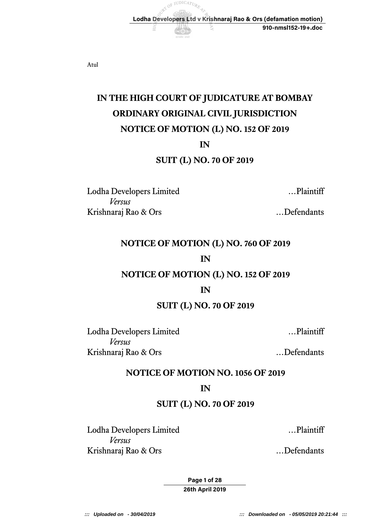Atul

# **IN THE HIGH COURT OF JUDICATURE AT BOMBAY NOTICE OF MOTION (L) NO. 152 OF 2019 ORDINARY ORIGINAL CIVIL JURISDICTION**

DRT OF JUDICATURE

E

 **Lodha Developers Ltd v Krishnaraj Rao & Ors (defamation motion)** 

## **IN**

## **SUIT (L) NO. 70 OF 2019**

Lodha Developers Limited …Plaintiff *Versus*  Krishnaraj Rao & Ors …Defendants

**910-nmsl152-19+.doc** 

## **NOTICE OF MOTION (L) NO. 760 OF 2019**

#### **IN**

# **NOTICE OF MOTION (L) NO. 152 OF 2019**

#### **IN**

#### **SUIT (L) NO. 70 OF 2019**

Lodha Developers Limited …Plaintiff *Versus*  Krishnaraj Rao & Ors [1] ... Defendants

#### **NOTICE OF MOTION NO. 1056 OF 2019**

#### **IN**

#### **SUIT (L) NO. 70 OF 2019**

Lodha Developers Limited …Plaintiff *Versus*  Krishnaraj Rao & Ors …Defendants

**Page 1 of 28 26th April 2019** 

**::: Uploaded on - 30/04/2019 ::: Downloaded on - 05/05/2019 20:21:44 :::**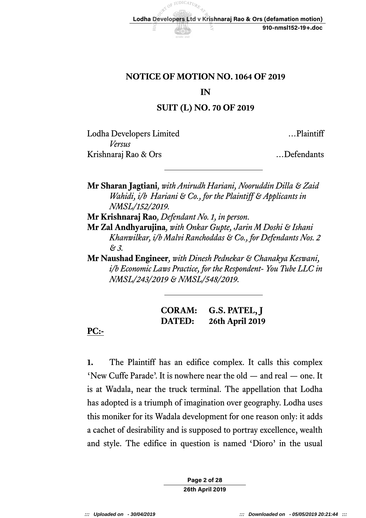# **NOTICE OF MOTION NO. 1064 OF 2019**

#### **IN**

## **SUIT (L) NO. 70 OF 2019**

Lodha Developers Limited …Plaintiff *Versus*  Krishnaraj Rao & Ors …Defendants

 **Mr Sharan Jagtiani***, with Anirudh Hariani, Nooruddin Dilla & Zaid Wahidi, i/b Hariani & Co., for the Plaintiff & Applicants in NMSL/152/2019.* 

 **Mr Krishnaraj Rao***, Defendant No. 1, in person.* 

 **Mr Zal Andhyarujina***, with Onkar Gupte, Jarin M Doshi & Ishani Khanwilkar, i/b Malvi Ranchoddas & Co., for Defendants Nos. 2 & 3.* 

 **Mr Naushad Engineer***, with Dinesh Pednekar & Chanakya Keswani, i/b Economic Laws Practice, for the Respondent- You Tube LLC in NMSL/243/2019 & NMSL/548/2019.* 

| <b>CORAM:</b> | G.S. PATEL, J          |
|---------------|------------------------|
| <b>DATED:</b> | <b>26th April 2019</b> |

# **PC:-**

 **1.** The Plaintiff has an edifice complex. It calls this complex 'New Cuffe Parade'. It is nowhere near the old — and real — one. It is at Wadala, near the truck terminal. The appellation that Lodha has adopted is a triumph of imagination over geography. Lodha uses this moniker for its Wadala development for one reason only: it adds a cachet of desirability and is supposed to portray excellence, wealth and style. The edifice in question is named 'Dioro' in the usual

> **Page 2 of 28 26th April 2019**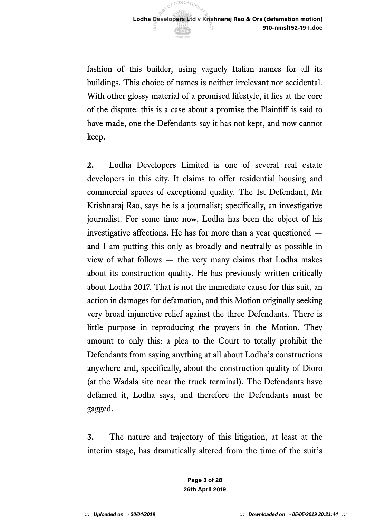fashion of this builder, using vaguely Italian names for all its buildings. This choice of names is neither irrelevant nor accidental. With other glossy material of a promised lifestyle, it lies at the core of the dispute: this is a case about a promise the Plaintiff is said to have made, one the Defendants say it has not kept, and now cannot keep.

 **2.** Lodha Developers Limited is one of several real estate developers in this city. It claims to offer residential housing and commercial spaces of exceptional quality. The 1st Defendant, Mr Krishnaraj Rao, says he is a journalist; specifically, an investigative journalist. For some time now, Lodha has been the object of his investigative affections. He has for more than a year questioned — and I am putting this only as broadly and neutrally as possible in view of what follows — the very many claims that Lodha makes about its construction quality. He has previously written critically about Lodha 2017. That is not the immediate cause for this suit, an action in damages for defamation, and this Motion originally seeking very broad injunctive relief against the three Defendants. There is little purpose in reproducing the prayers in the Motion. They amount to only this: a plea to the Court to totally prohibit the Defendants from saying anything at all about Lodha's constructions anywhere and, specifically, about the construction quality of Dioro (at the Wadala site near the truck terminal). The Defendants have defamed it, Lodha says, and therefore the Defendants must be gagged.

 **3.** The nature and trajectory of this litigation, at least at the interim stage, has dramatically altered from the time of the suit's

> **Page 3 of 28 26th April 2019**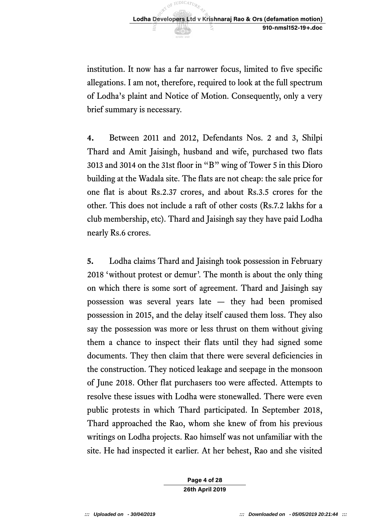

 institution. It now has a far narrower focus, limited to five specific allegations. I am not, therefore, required to look at the full spectrum of Lodha's plaint and Notice of Motion. Consequently, only a very brief summary is necessary.

 **4.** Between 2011 and 2012, Defendants Nos. 2 and 3, Shilpi Thard and Amit Jaisingh, husband and wife, purchased two flats 3013 and 3014 on the 31st floor in "B" wing of Tower 5 in this Dioro building at the Wadala site. The flats are not cheap: the sale price for one flat is about Rs.2.37 crores, and about Rs.3.5 crores for the other. This does not include a raft of other costs (Rs.7.2 lakhs for a club membership, etc). Thard and Jaisingh say they have paid Lodha nearly Rs.6 crores.

 **5.** Lodha claims Thard and Jaisingh took possession in February 2018 'without protest or demur'. The month is about the only thing on which there is some sort of agreement. Thard and Jaisingh say possession was several years late — they had been promised possession in 2015, and the delay itself caused them loss. They also say the possession was more or less thrust on them without giving them a chance to inspect their flats until they had signed some documents. They then claim that there were several deficiencies in the construction. They noticed leakage and seepage in the monsoon of June 2018. Other flat purchasers too were affected. Attempts to resolve these issues with Lodha were stonewalled. There were even public protests in which Thard participated. In September 2018, Thard approached the Rao, whom she knew of from his previous writings on Lodha projects. Rao himself was not unfamiliar with the site. He had inspected it earlier. At her behest, Rao and she visited

> **Page 4 of 28 26th April 2019**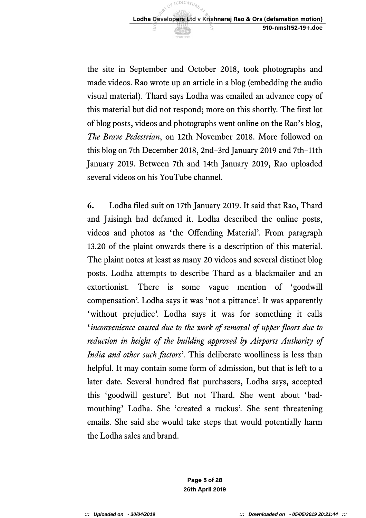the site in September and October 2018, took photographs and made videos. Rao wrote up an article in a blog (embedding the audio visual material). Thard says Lodha was emailed an advance copy of this material but did not respond; more on this shortly. The first lot of blog posts, videos and photographs went online on the Rao's blog, The Brave Pedestrian, on 12th November 2018. More followed on this blog on 7th December 2018, 2nd–3rd January 2019 and 7th–11th January 2019. Between 7th and 14th January 2019, Rao uploaded several videos on his YouTube channel.

 **6.** Lodha filed suit on 17th January 2019. It said that Rao, Thard and Jaisingh had defamed it. Lodha described the online posts, videos and photos as 'the Offending Material'. From paragraph 13.20 of the plaint onwards there is a description of this material. The plaint notes at least as many 20 videos and several distinct blog posts. Lodha attempts to describe Thard as a blackmailer and an extortionist. compensation'. Lodha says it was 'not a pittance'. It was apparently 'without prejudice'. Lodha says it was for something it calls  '*inconvenience caused due to the work of removal of upper floors due to reduction in height of the building approved by Airports Authority of India and other such factors*'. This deliberate woolliness is less than helpful. It may contain some form of admission, but that is left to a later date. Several hundred flat purchasers, Lodha says, accepted this 'goodwill gesture'. But not Thard. She went about 'bad- mouthing' Lodha. She 'created a ruckus'. She sent threatening emails. She said she would take steps that would potentially harm the Lodha sales and brand. There is some vague mention of 'goodwill

> **Page 5 of 28 26th April 2019**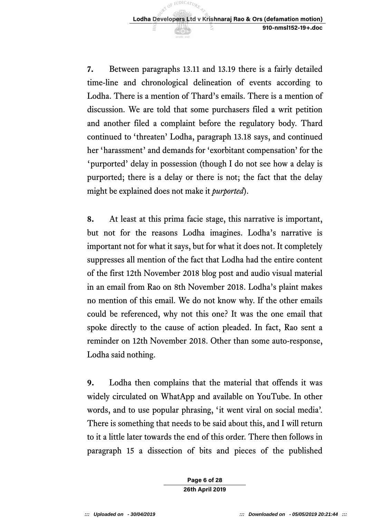**7.** Between paragraphs 13.11 and 13.19 there is a fairly detailed time-line and chronological delineation of events according to Lodha. There is a mention of Thard's emails. There is a mention of discussion. We are told that some purchasers filed a writ petition and another filed a complaint before the regulatory body. Thard continued to 'threaten' Lodha, paragraph 13.18 says, and continued 'purported' delay in possession (though I do not see how a delay is purported; there is a delay or there is not; the fact that the delay might be explained does not make it *purported*). her 'harassment' and demands for 'exorbitant compensation' for the

 **8.** At least at this prima facie stage, this narrative is important, but not for the reasons Lodha imagines. Lodha's narrative is important not for what it says, but for what it does not. It completely suppresses all mention of the fact that Lodha had the entire content of the first 12th November 2018 blog post and audio visual material in an email from Rao on 8th November 2018. Lodha's plaint makes no mention of this email. We do not know why. If the other emails could be referenced, why not this one? It was the one email that spoke directly to the cause of action pleaded. In fact, Rao sent a reminder on 12th November 2018. Other than some auto-response, Lodha said nothing.

 **9.** Lodha then complains that the material that offends it was widely circulated on WhatApp and available on YouTube. In other words, and to use popular phrasing, 'it went viral on social media'. There is something that needs to be said about this, and I will return to it a little later towards the end of this order. There then follows in paragraph 15 a dissection of bits and pieces of the published

> **Page 6 of 28 26th April 2019**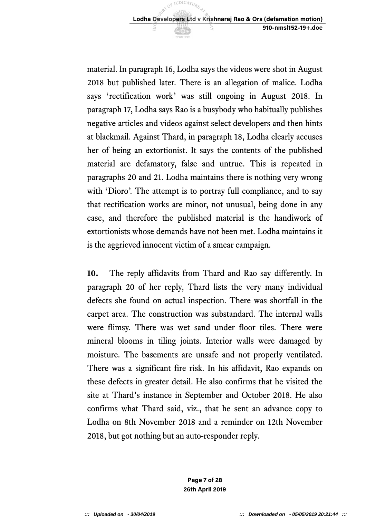material. In paragraph 16, Lodha says the videos were shot in August 2018 but published later. There is an allegation of malice. Lodha says 'rectification work' was still ongoing in August 2018. In paragraph 17, Lodha says Rao is a busybody who habitually publishes negative articles and videos against select developers and then hints at blackmail. Against Thard, in paragraph 18, Lodha clearly accuses her of being an extortionist. It says the contents of the published material are defamatory, false and untrue. This is repeated in paragraphs 20 and 21. Lodha maintains there is nothing very wrong with 'Dioro'. The attempt is to portray full compliance, and to say that rectification works are minor, not unusual, being done in any case, and therefore the published material is the handiwork of extortionists whose demands have not been met. Lodha maintains it is the aggrieved innocent victim of a smear campaign.

 **10.** The reply affidavits from Thard and Rao say differently. In paragraph 20 of her reply, Thard lists the very many individual defects she found on actual inspection. There was shortfall in the carpet area. The construction was substandard. The internal walls were flimsy. There was wet sand under floor tiles. There were mineral blooms in tiling joints. Interior walls were damaged by moisture. The basements are unsafe and not properly ventilated. There was a significant fire risk. In his affidavit, Rao expands on these defects in greater detail. He also confirms that he visited the site at Thard's instance in September and October 2018. He also confirms what Thard said, viz., that he sent an advance copy to Lodha on 8th November 2018 and a reminder on 12th November 2018, but got nothing but an auto-responder reply.

> **Page 7 of 28 26th April 2019**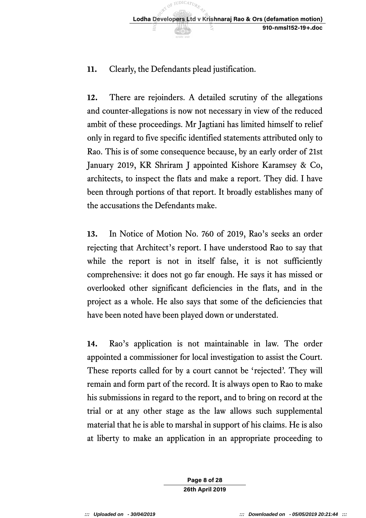# **11.** Clearly, the Defendants plead justification.

 **12.** There are rejoinders. A detailed scrutiny of the allegations and counter-allegations is now not necessary in view of the reduced ambit of these proceedings. Mr Jagtiani has limited himself to relief only in regard to five specific identified statements attributed only to Rao. This is of some consequence because, by an early order of 21st January 2019, KR Shriram J appointed Kishore Karamsey & Co, architects, to inspect the flats and make a report. They did. I have been through portions of that report. It broadly establishes many of the accusations the Defendants make.

 **13.** In Notice of Motion No. 760 of 2019, Rao's seeks an order rejecting that Architect's report. I have understood Rao to say that while the report is not in itself false, it is not sufficiently comprehensive: it does not go far enough. He says it has missed or overlooked other significant deficiencies in the flats, and in the project as a whole. He also says that some of the deficiencies that have been noted have been played down or understated.

 **14.** Rao's application is not maintainable in law. The order appointed a commissioner for local investigation to assist the Court. These reports called for by a court cannot be 'rejected'. They will remain and form part of the record. It is always open to Rao to make his submissions in regard to the report, and to bring on record at the trial or at any other stage as the law allows such supplemental material that he is able to marshal in support of his claims. He is also at liberty to make an application in an appropriate proceeding to

> **Page 8 of 28 26th April 2019**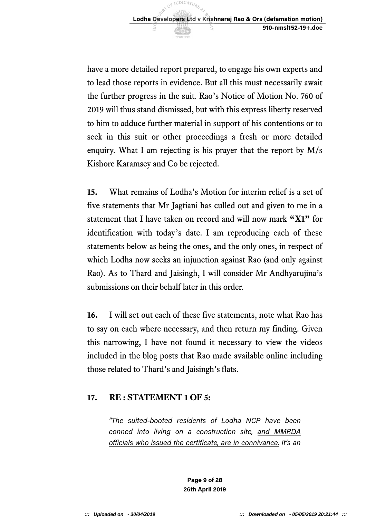have a more detailed report prepared, to engage his own experts and to lead those reports in evidence. But all this must necessarily await the further progress in the suit. Rao's Notice of Motion No. 760 of 2019 will thus stand dismissed, but with this express liberty reserved to him to adduce further material in support of his contentions or to seek in this suit or other proceedings a fresh or more detailed enquiry. What I am rejecting is his prayer that the report by M/s Kishore Karamsey and Co be rejected.

 **15.** What remains of Lodha's Motion for interim relief is a set of five statements that Mr Jagtiani has culled out and given to me in a statement that I have taken on record and will now mark **"X1"** for identification with today's date. I am reproducing each of these statements below as being the ones, and the only ones, in respect of which Lodha now seeks an injunction against Rao (and only against Rao). As to Thard and Jaisingh, I will consider Mr Andhyarujina's submissions on their behalf later in this order.

 **16.** I will set out each of these five statements, note what Rao has to say on each where necessary, and then return my finding. Given this narrowing, I have not found it necessary to view the videos included in the blog posts that Rao made available online including those related to Thard's and Jaisingh's flats.

# **17. RE : STATEMENT 1 OF 5:**

 *"The suited-booted residents of Lodha NCP have been conned into living on a construction site, and MMRDA officials who issued the certificate, are in connivance. It's an* 

> **Page 9 of 28 26th April 2019**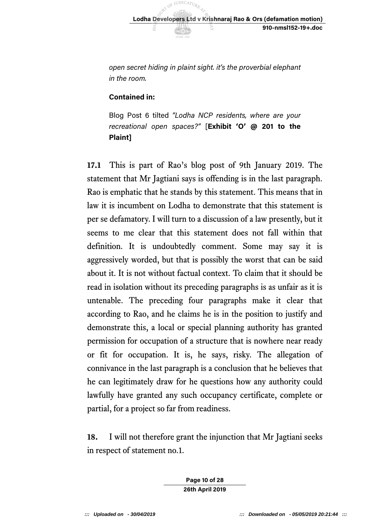*open secret hiding in plaint sight. it's the proverbial elephant in the room.* 

# **Contained in:**

 Blog Post 6 tilted *"Lodha NCP residents, where are your recreational open spaces?"* [**Exhibit 'O' @ 201 to the Plaint]** 

 **17.1** This is part of Rao's blog post of 9th January 2019. The statement that Mr Jagtiani says is offending is in the last paragraph. Rao is emphatic that he stands by this statement. This means that in law it is incumbent on Lodha to demonstrate that this statement is per se defamatory. I will turn to a discussion of a law presently, but it seems to me clear that this statement does not fall within that definition. It is undoubtedly comment. Some may say it is aggressively worded, but that is possibly the worst that can be said about it. It is not without factual context. To claim that it should be read in isolation without its preceding paragraphs is as unfair as it is untenable. The preceding four paragraphs make it clear that according to Rao, and he claims he is in the position to justify and demonstrate this, a local or special planning authority has granted permission for occupation of a structure that is nowhere near ready or fit for occupation. It is, he says, risky. The allegation of connivance in the last paragraph is a conclusion that he believes that he can legitimately draw for he questions how any authority could lawfully have granted any such occupancy certificate, complete or partial, for a project so far from readiness.

 **18.** I will not therefore grant the injunction that Mr Jagtiani seeks in respect of statement no.1.

> **Page 10 of 28 26th April 2019**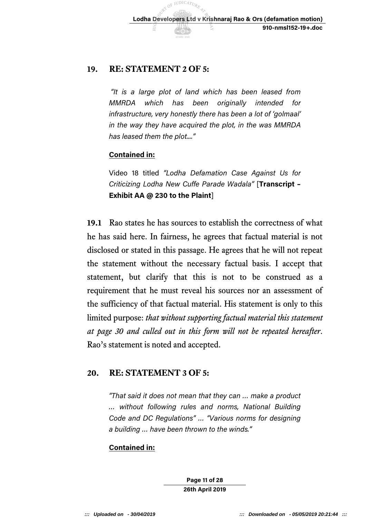# **19. RE: STATEMENT 2 OF 5:**

 *"It is a large plot of land which has been leased from*  MMRDA  *infrastructure, very honestly there has been a lot of 'golmaal' in the way they have acquired the plot, in the was MMRDA*  which has been originally intended for *has leased them the plot...."* 

## **Contained in:**

 Video 18 titled *"Lodha Defamation Case Against Us for Criticizing Lodha New Cuffe Parade Wadala"* [**Transcript – Exhibit AA @ 230 to the Plaint**]

 **19.1** Rao states he has sources to establish the correctness of what he has said here. In fairness, he agrees that factual material is not disclosed or stated in this passage. He agrees that he will not repeat the statement without the necessary factual basis. I accept that statement, but clarify that this is not to be construed as a requirement that he must reveal his sources nor an assessment of the sufficiency of that factual material. His statement is only to this  limited purpose: *that without supporting factual material this statement at page 30 and culled out in this form will not be repeated hereafter*. Rao's statement is noted and accepted.

# **20. RE: STATEMENT 3 OF 5:**

 *"That said it does not mean that they can … make a product … without following rules and norms, National Building Code and DC Regulations" … "Various norms for designing a building … have been thrown to the winds."* 

# **Contained in:**

**Page 11 of 28 26th April 2019**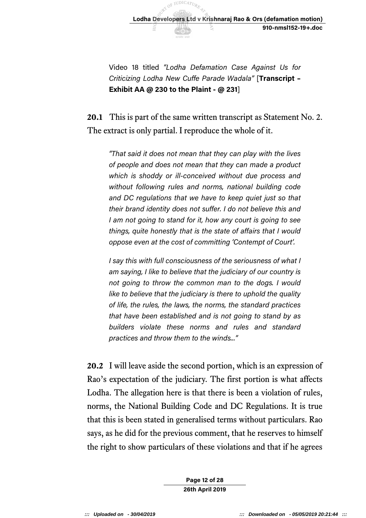

 Video 18 titled *"Lodha Defamation Case Against Us for Criticizing Lodha New Cuffe Parade Wadala"* [**Transcript – Exhibit AA @ 230 to the Plaint - @ 231**]

 **20.1** This is part of the same written transcript as Statement No. 2. The extract is only partial. I reproduce the whole of it.

 *"That said it does not mean that they can play with the lives of people and does not mean that they can made a product which is shoddy or ill-conceived without due process and without following rules and norms, national building code and DC regulations that we have to keep quiet just so that their brand identity does not suffer. I do not believe this and I am not going to stand for it, how any court is going to see things, quite honestly that is the state of affairs that I would oppose even at the cost of committing 'Contempt of Court'.* 

 *I say this with full consciousness of the seriousness of what I am saying, I like to believe that the judiciary of our country is not going to throw the common man to the dogs. I would like to believe that the judiciary is there to uphold the quality of life, the rules, the laws, the norms, the standard practices that have been established and is not going to stand by as builders violate these norms and rules and standard practices and throw them to the winds..."* 

 **20.2** I will leave aside the second portion, which is an expression of Rao's expectation of the judiciary. The first portion is what affects Lodha. The allegation here is that there is been a violation of rules, norms, the National Building Code and DC Regulations. It is true that this is been stated in generalised terms without particulars. Rao says, as he did for the previous comment, that he reserves to himself the right to show particulars of these violations and that if he agrees

> **Page 12 of 28 26th April 2019**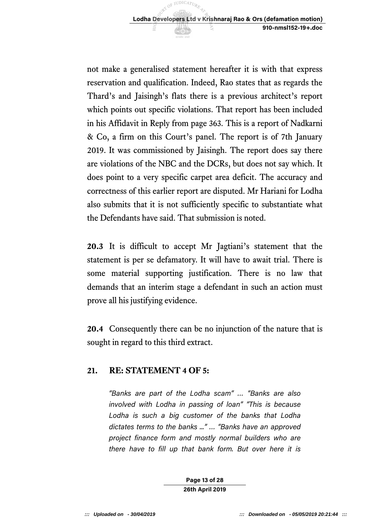not make a generalised statement hereafter it is with that express reservation and qualification. Indeed, Rao states that as regards the Thard's and Jaisingh's flats there is a previous architect's report which points out specific violations. That report has been included in his Affidavit in Reply from page 363. This is a report of Nadkarni & Co, a firm on this Court's panel. The report is of 7th January 2019. It was commissioned by Jaisingh. The report does say there are violations of the NBC and the DCRs, but does not say which. It does point to a very specific carpet area deficit. The accuracy and correctness of this earlier report are disputed. Mr Hariani for Lodha also submits that it is not sufficiently specific to substantiate what the Defendants have said. That submission is noted.

 **20.3** It is difficult to accept Mr Jagtiani's statement that the statement is per se defamatory. It will have to await trial. There is some material supporting justification. There is no law that demands that an interim stage a defendant in such an action must prove all his justifying evidence.

 **20.4** Consequently there can be no injunction of the nature that is sought in regard to this third extract.

# **21. RE: STATEMENT 4 OF 5:**

 *"Banks are part of the Lodha scam" … "Banks are also involved with Lodha in passing of loan" "This is because Lodha is such a big customer of the banks that Lodha dictates terms to the banks ..." … "Banks have an approved project finance form and mostly normal builders who are there have to fill up that bank form. But over here it is* 

> **Page 13 of 28 26th April 2019**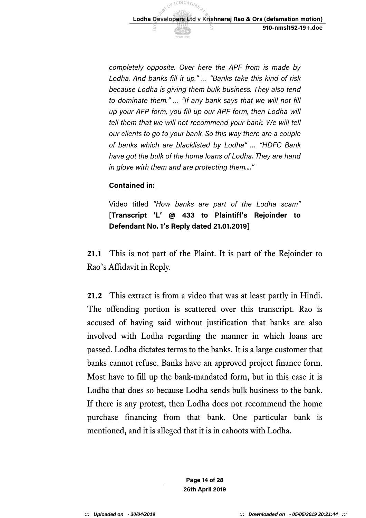*completely opposite. Over here the APF from is made by Lodha. And banks fill it up." … "Banks take this kind of risk because Lodha is giving them bulk business. They also tend to dominate them." … "If any bank says that we will not fill up your AFP form, you fill up our APF form, then Lodha will tell them that we will not recommend your bank. We will tell our clients to go to your bank. So this way there are a couple of banks which are blacklisted by Lodha" … "HDFC Bank have got the bulk of the home loans of Lodha. They are hand in glove with them and are protecting them...."* 

## **Contained in:**

 Video titled *"How banks are part of the Lodha scam"*   [**Transcript 'L' @ 433 to Plaintiff's Rejoinder to Defendant No. 1's Reply dated 21.01.2019**]

 **21.1** This is not part of the Plaint. It is part of the Rejoinder to Rao's Affidavit in Reply.

 **21.2** This extract is from a video that was at least partly in Hindi. The offending portion is scattered over this transcript. Rao is accused of having said without justification that banks are also involved with Lodha regarding the manner in which loans are passed. Lodha dictates terms to the banks. It is a large customer that banks cannot refuse. Banks have an approved project finance form. Most have to fill up the bank-mandated form, but in this case it is Lodha that does so because Lodha sends bulk business to the bank. If there is any protest, then Lodha does not recommend the home purchase financing from that bank. One particular bank is mentioned, and it is alleged that it is in cahoots with Lodha.

> **Page 14 of 28 26th April 2019**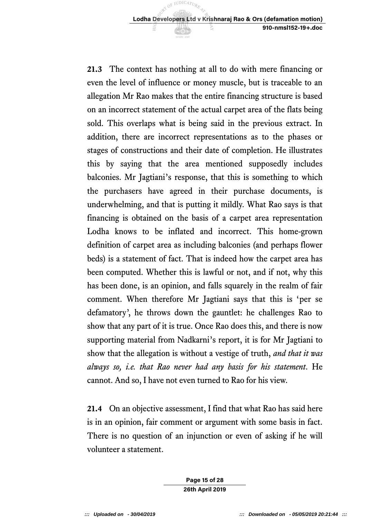**21.3** The context has nothing at all to do with mere financing or even the level of influence or money muscle, but is traceable to an allegation Mr Rao makes that the entire financing structure is based on an incorrect statement of the actual carpet area of the flats being sold. This overlaps what is being said in the previous extract. In addition, there are incorrect representations as to the phases or stages of constructions and their date of completion. He illustrates this by saying that the area mentioned supposedly includes balconies. Mr Jagtiani's response, that this is something to which the purchasers have agreed in their purchase documents, is underwhelming, and that is putting it mildly. What Rao says is that financing is obtained on the basis of a carpet area representation Lodha knows to be inflated and incorrect. This home-grown definition of carpet area as including balconies (and perhaps flower beds) is a statement of fact. That is indeed how the carpet area has been computed. Whether this is lawful or not, and if not, why this has been done, is an opinion, and falls squarely in the realm of fair comment. When therefore Mr Jagtiani says that this is 'per se defamatory', he throws down the gauntlet: he challenges Rao to show that any part of it is true. Once Rao does this, and there is now supporting material from Nadkarni's report, it is for Mr Jagtiani to show that the allegation is without a vestige of truth, *and that it was always so, i.e. that Rao never had any basis for his statement*. He cannot. And so, I have not even turned to Rao for his view.

 **21.4** On an objective assessment, I find that what Rao has said here is in an opinion, fair comment or argument with some basis in fact. There is no question of an injunction or even of asking if he will volunteer a statement.

> **Page 15 of 28 26th April 2019**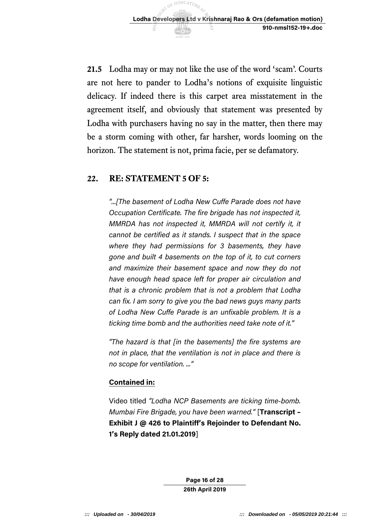

 **21.5** Lodha may or may not like the use of the word 'scam'. Courts are not here to pander to Lodha's notions of exquisite linguistic delicacy. If indeed there is this carpet area misstatement in the agreement itself, and obviously that statement was presented by Lodha with purchasers having no say in the matter, then there may be a storm coming with other, far harsher, words looming on the horizon. The statement is not, prima facie, per se defamatory.

## **22. RE: STATEMENT 5 OF 5:**

 *"...[The basement of Lodha New Cuffe Parade does not have Occupation Certificate. The fire brigade has not inspected it, MMRDA has not inspected it, MMRDA will not certify it, it cannot be certified as it stands. I suspect that in the space where they had permissions for 3 basements, they have gone and built 4 basements on the top of it, to cut corners and maximize their basement space and now they do not have enough head space left for proper air circulation and that is a chronic problem that is not a problem that Lodha can fix. I am sorry to give you the bad news guys many parts of Lodha New Cuffe Parade is an unfixable problem. It is a ticking time bomb and the authorities need take note of it."* 

 *"The hazard is that [in the basements] the fire systems are not in place, that the ventilation is not in place and there is no scope for ventilation. ..."* 

## **Contained in:**

 Video titled *"Lodha NCP Basements are ticking time-bomb. Mumbai Fire Brigade, you have been warned."* [**Transcript – Exhibit J @ 426 to Plaintiff's Rejoinder to Defendant No. 1's Reply dated 21.01.2019**]

> **Page 16 of 28 26th April 2019**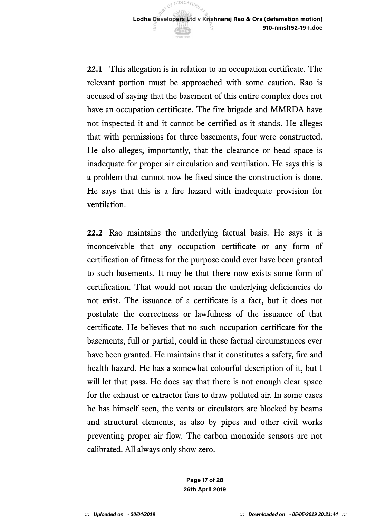

 **22.1** This allegation is in relation to an occupation certificate. The relevant portion must be approached with some caution. Rao is accused of saying that the basement of this entire complex does not have an occupation certificate. The fire brigade and MMRDA have not inspected it and it cannot be certified as it stands. He alleges that with permissions for three basements, four were constructed. He also alleges, importantly, that the clearance or head space is inadequate for proper air circulation and ventilation. He says this is a problem that cannot now be fixed since the construction is done. He says that this is a fire hazard with inadequate provision for ventilation.

 **22.2** Rao maintains the underlying factual basis. He says it is inconceivable that any occupation certificate or any form of certification of fitness for the purpose could ever have been granted to such basements. It may be that there now exists some form of certification. That would not mean the underlying deficiencies do not exist. The issuance of a certificate is a fact, but it does not postulate the correctness or lawfulness of the issuance of that certificate. He believes that no such occupation certificate for the basements, full or partial, could in these factual circumstances ever have been granted. He maintains that it constitutes a safety, fire and health hazard. He has a somewhat colourful description of it, but I will let that pass. He does say that there is not enough clear space for the exhaust or extractor fans to draw polluted air. In some cases he has himself seen, the vents or circulators are blocked by beams and structural elements, as also by pipes and other civil works preventing proper air flow. The carbon monoxide sensors are not calibrated. All always only show zero.

> **Page 17 of 28 26th April 2019**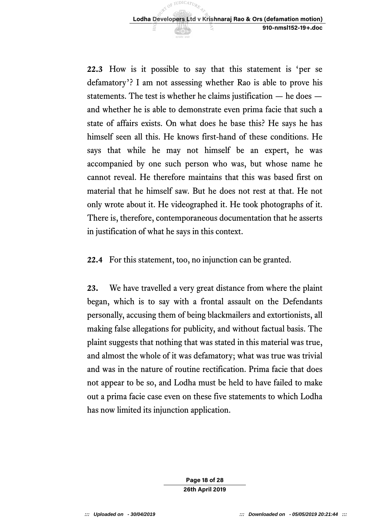**22.3** How is it possible to say that this statement is 'per se defamatory'? I am not assessing whether Rao is able to prove his statements. The test is whether he claims justification — he does — and whether he is able to demonstrate even prima facie that such a state of affairs exists. On what does he base this? He says he has himself seen all this. He knows first-hand of these conditions. He says that while he may not himself be an expert, he was accompanied by one such person who was, but whose name he cannot reveal. He therefore maintains that this was based first on material that he himself saw. But he does not rest at that. He not only wrote about it. He videographed it. He took photographs of it. There is, therefore, contemporaneous documentation that he asserts in justification of what he says in this context.

**22.4** For this statement, too, no injunction can be granted.

 **23.** We have travelled a very great distance from where the plaint began, which is to say with a frontal assault on the Defendants personally, accusing them of being blackmailers and extortionists, all making false allegations for publicity, and without factual basis. The plaint suggests that nothing that was stated in this material was true, and almost the whole of it was defamatory; what was true was trivial and was in the nature of routine rectification. Prima facie that does not appear to be so, and Lodha must be held to have failed to make out a prima facie case even on these five statements to which Lodha has now limited its injunction application.

> **Page 18 of 28 26th April 2019**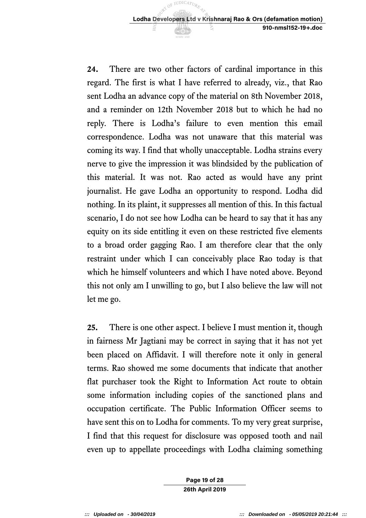**24.** There are two other factors of cardinal importance in this regard. The first is what I have referred to already, viz., that Rao sent Lodha an advance copy of the material on 8th November 2018, and a reminder on 12th November 2018 but to which he had no reply. There is Lodha's failure to even mention this email correspondence. Lodha was not unaware that this material was coming its way. I find that wholly unacceptable. Lodha strains every nerve to give the impression it was blindsided by the publication of this material. It was not. Rao acted as would have any print journalist. He gave Lodha an opportunity to respond. Lodha did nothing. In its plaint, it suppresses all mention of this. In this factual scenario, I do not see how Lodha can be heard to say that it has any equity on its side entitling it even on these restricted five elements to a broad order gagging Rao. I am therefore clear that the only restraint under which I can conceivably place Rao today is that which he himself volunteers and which I have noted above. Beyond this not only am I unwilling to go, but I also believe the law will not let me go.

 **25.** There is one other aspect. I believe I must mention it, though in fairness Mr Jagtiani may be correct in saying that it has not yet been placed on Affidavit. I will therefore note it only in general terms. Rao showed me some documents that indicate that another flat purchaser took the Right to Information Act route to obtain some information including copies of the sanctioned plans and occupation certificate. The Public Information Officer seems to have sent this on to Lodha for comments. To my very great surprise, I find that this request for disclosure was opposed tooth and nail even up to appellate proceedings with Lodha claiming something

> **Page 19 of 28 26th April 2019**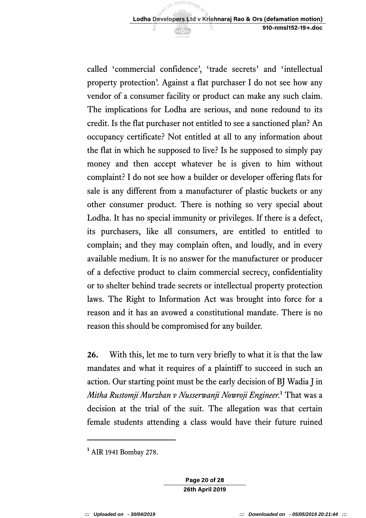called 'commercial confidence' , 'trade secrets' and 'intellectual property protection'. Against a flat purchaser I do not see how any vendor of a consumer facility or product can make any such claim. The implications for Lodha are serious, and none redound to its credit. Is the flat purchaser not entitled to see a sanctioned plan? An occupancy certificate? Not entitled at all to any information about the flat in which he supposed to live? Is he supposed to simply pay money and then accept whatever he is given to him without complaint? I do not see how a builder or developer offering flats for sale is any different from a manufacturer of plastic buckets or any other consumer product. There is nothing so very special about Lodha. It has no special immunity or privileges. If there is a defect, its purchasers, like all consumers, are entitled to entitled to complain; and they may complain often, and loudly, and in every available medium. It is no answer for the manufacturer or producer of a defective product to claim commercial secrecy, confidentiality or to shelter behind trade secrets or intellectual property protection laws. The Right to Information Act was brought into force for a reason and it has an avowed a constitutional mandate. There is no reason this should be compromised for any builder.

 **26.** With this, let me to turn very briefly to what it is that the law mandates and what it requires of a plaintiff to succeed in such an action. Our starting point must be the early decision of BJ Wadia J in  *Mitha Rustomji Murzban v Nusserwanji Nowroji Engineer.***<sup>1</sup>**That was a decision at the trial of the suit. The allegation was that certain female students attending a class would have their future ruined

-

**Page 20 of 28 26th April 2019** 

 **<sup>1</sup>**AIR 1941 Bombay 278.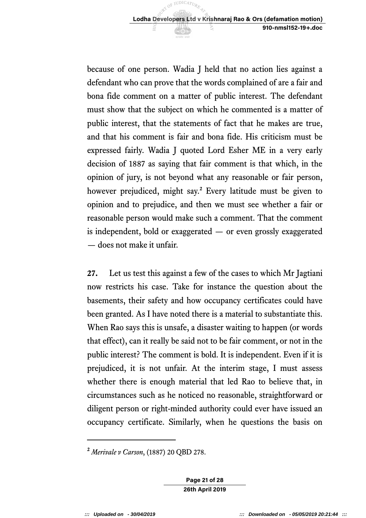because of one person. Wadia J held that no action lies against a defendant who can prove that the words complained of are a fair and bona fide comment on a matter of public interest. The defendant must show that the subject on which he commented is a matter of public interest, that the statements of fact that he makes are true, and that his comment is fair and bona fide. His criticism must be expressed fairly. Wadia J quoted Lord Esher ME in a very early decision of 1887 as saying that fair comment is that which, in the opinion of jury, is not beyond what any reasonable or fair person, however prejudiced, might say.**<sup>2</sup>**Every latitude must be given to opinion and to prejudice, and then we must see whether a fair or reasonable person would make such a comment. That the comment is independent, bold or exaggerated — or even grossly exaggerated — does not make it unfair.

 **27.** Let us test this against a few of the cases to which Mr Jagtiani now restricts his case. Take for instance the question about the basements, their safety and how occupancy certificates could have been granted. As I have noted there is a material to substantiate this. When Rao says this is unsafe, a disaster waiting to happen (or words that effect), can it really be said not to be fair comment, or not in the public interest? The comment is bold. It is independent. Even if it is prejudiced, it is not unfair. At the interim stage, I must assess whether there is enough material that led Rao to believe that, in circumstances such as he noticed no reasonable, straightforward or diligent person or right-minded authority could ever have issued an occupancy certificate. Similarly, when he questions the basis on

**Page 21 of 28 26th April 2019** 

 $\overline{a}$ 

 **<sup>2</sup>***Merivale v Carson*, (1887) 20 QBD 278.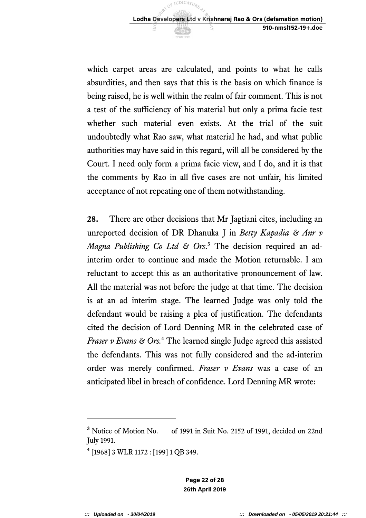which carpet areas are calculated, and points to what he calls absurdities, and then says that this is the basis on which finance is being raised, he is well within the realm of fair comment. This is not a test of the sufficiency of his material but only a prima facie test whether such material even exists. At the trial of the suit undoubtedly what Rao saw, what material he had, and what public authorities may have said in this regard, will all be considered by the Court. I need only form a prima facie view, and I do, and it is that the comments by Rao in all five cases are not unfair, his limited acceptance of not repeating one of them notwithstanding.

 **28.** There are other decisions that Mr Jagtiani cites, including an unreported decision of DR Dhanuka J in *Betty Kapadia & Anr v*  Magna Publishing Co Ltd & Ors.<sup>3</sup> The decision required an ad- interim order to continue and made the Motion returnable. I am reluctant to accept this as an authoritative pronouncement of law. All the material was not before the judge at that time. The decision is at an ad interim stage. The learned Judge was only told the defendant would be raising a plea of justification. The defendants cited the decision of Lord Denning MR in the celebrated case of  *Fraser v Evans & Ors.***<sup>4</sup>**The learned single Judge agreed this assisted the defendants. This was not fully considered and the ad-interim order was merely confirmed. *Fraser v Evans* was a case of an anticipated libel in breach of confidence. Lord Denning MR wrote:

**Page 22 of 28 26th April 2019** 

-

<sup>&</sup>lt;sup>3</sup> Notice of Motion No. \_\_ of 1991 in Suit No. 2152 of 1991, decided on 22nd July 1991.

 **<sup>4</sup>**[1968] 3 WLR 1172 : [199] 1 QB 349.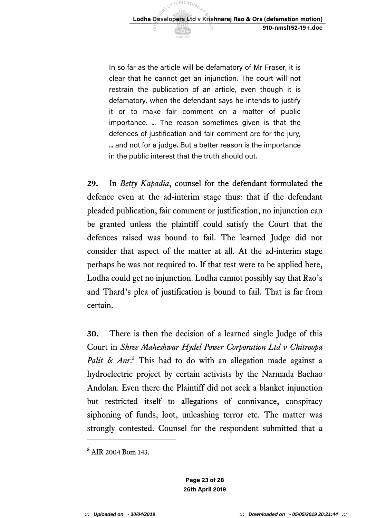In so far as the article will be defamatory of Mr Fraser, it is clear that he cannot get an injunction. The court will not restrain the publication of an article, even though it is defamatory, when the defendant says he intends to justify it or to make fair comment on a matter of public importance. ... The reason sometimes given is that the defences of justification and fair comment are for the jury, ... and not for a judge. But a better reason is the importance in the public interest that the truth should out.

 **29.** In *Betty Kapadia*, counsel for the defendant formulated the defence even at the ad-interim stage thus: that if the defendant pleaded publication, fair comment or justification, no injunction can be granted unless the plaintiff could satisfy the Court that the defences raised was bound to fail. The learned Judge did not consider that aspect of the matter at all. At the ad-interim stage perhaps he was not required to. If that test were to be applied here, Lodha could get no injunction. Lodha cannot possibly say that Rao's and Thard's plea of justification is bound to fail. That is far from certain.

 **30.** There is then the decision of a learned single Judge of this  Court in *Shree Maheshwar Hydel Power Corporation Ltd v Chitroopa*  Palit & Anr.<sup>5</sup> This had to do with an allegation made against a hydroelectric project by certain activists by the Narmada Bachao Andolan. Even there the Plaintiff did not seek a blanket injunction but restricted itself to allegations of connivance, conspiracy siphoning of funds, loot, unleashing terror etc. The matter was strongly contested. Counsel for the respondent submitted that a

 $\overline{a}$ 

 **<sup>5</sup>**AIR 2004 Bom 143.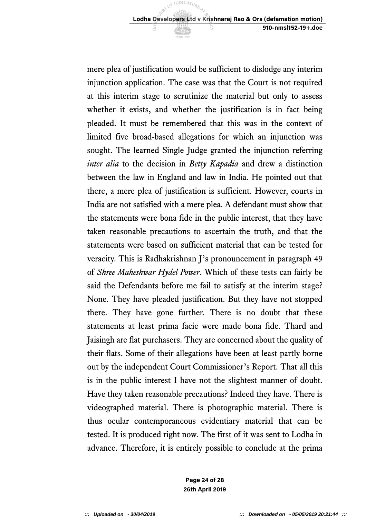mere plea of justification would be sufficient to dislodge any interim injunction application. The case was that the Court is not required at this interim stage to scrutinize the material but only to assess whether it exists, and whether the justification is in fact being pleaded. It must be remembered that this was in the context of limited five broad-based allegations for which an injunction was sought. The learned Single Judge granted the injunction referring *inter alia* to the decision in *Betty Kapadia* and drew a distinction between the law in England and law in India. He pointed out that there, a mere plea of justification is sufficient. However, courts in India are not satisfied with a mere plea. A defendant must show that the statements were bona fide in the public interest, that they have taken reasonable precautions to ascertain the truth, and that the statements were based on sufficient material that can be tested for veracity. This is Radhakrishnan J's pronouncement in paragraph 49 of *Shree Maheshwar Hydel Power*. Which of these tests can fairly be said the Defendants before me fail to satisfy at the interim stage? None. They have pleaded justification. But they have not stopped there. They have gone further. There is no doubt that these statements at least prima facie were made bona fide. Thard and Jaisingh are flat purchasers. They are concerned about the quality of their flats. Some of their allegations have been at least partly borne out by the independent Court Commissioner's Report. That all this is in the public interest I have not the slightest manner of doubt. Have they taken reasonable precautions? Indeed they have. There is videographed material. There is photographic material. There is thus ocular contemporaneous evidentiary material that can be tested. It is produced right now. The first of it was sent to Lodha in advance. Therefore, it is entirely possible to conclude at the prima

> **Page 24 of 28 26th April 2019**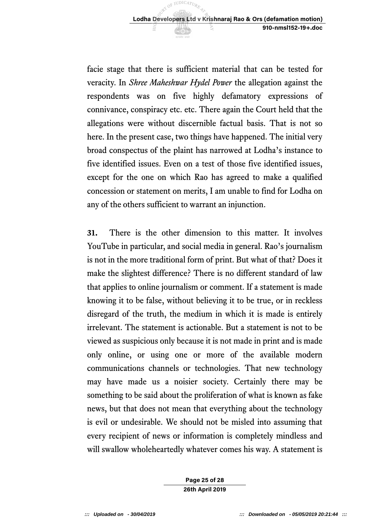facie stage that there is sufficient material that can be tested for  veracity. In *Shree Maheshwar Hydel Power* the allegation against the respondents was on five highly defamatory expressions of connivance, conspiracy etc. etc. There again the Court held that the allegations were without discernible factual basis. That is not so here. In the present case, two things have happened. The initial very broad conspectus of the plaint has narrowed at Lodha's instance to five identified issues. Even on a test of those five identified issues, except for the one on which Rao has agreed to make a qualified concession or statement on merits, I am unable to find for Lodha on any of the others sufficient to warrant an injunction.

 **31.** There is the other dimension to this matter. It involves YouTube in particular, and social media in general. Rao's journalism is not in the more traditional form of print. But what of that? Does it make the slightest difference? There is no different standard of law that applies to online journalism or comment. If a statement is made knowing it to be false, without believing it to be true, or in reckless disregard of the truth, the medium in which it is made is entirely irrelevant. The statement is actionable. But a statement is not to be viewed as suspicious only because it is not made in print and is made only online, or using one or more of the available modern communications channels or technologies. That new technology may have made us a noisier society. Certainly there may be something to be said about the proliferation of what is known as fake news, but that does not mean that everything about the technology is evil or undesirable. We should not be misled into assuming that every recipient of news or information is completely mindless and will swallow wholeheartedly whatever comes his way. A statement is

> **Page 25 of 28 26th April 2019**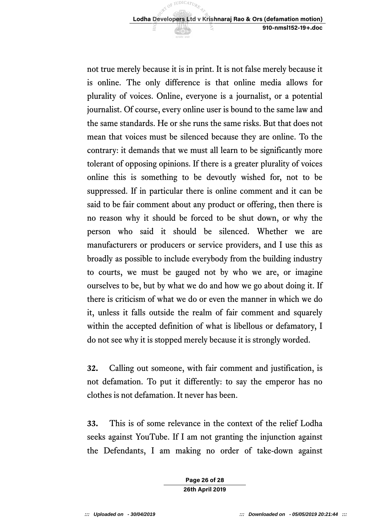not true merely because it is in print. It is not false merely because it is online. The only difference is that online media allows for plurality of voices. Online, everyone is a journalist, or a potential journalist. Of course, every online user is bound to the same law and the same standards. He or she runs the same risks. But that does not mean that voices must be silenced because they are online. To the contrary: it demands that we must all learn to be significantly more tolerant of opposing opinions. If there is a greater plurality of voices online this is something to be devoutly wished for, not to be suppressed. If in particular there is online comment and it can be said to be fair comment about any product or offering, then there is no reason why it should be forced to be shut down, or why the person who said it should be silenced. Whether we are manufacturers or producers or service providers, and I use this as broadly as possible to include everybody from the building industry to courts, we must be gauged not by who we are, or imagine ourselves to be, but by what we do and how we go about doing it. If there is criticism of what we do or even the manner in which we do it, unless it falls outside the realm of fair comment and squarely within the accepted definition of what is libellous or defamatory, I do not see why it is stopped merely because it is strongly worded.

 **32.** Calling out someone, with fair comment and justification, is not defamation. To put it differently: to say the emperor has no clothes is not defamation. It never has been.

 **33.** This is of some relevance in the context of the relief Lodha seeks against YouTube. If I am not granting the injunction against the Defendants, I am making no order of take-down against

> **Page 26 of 28 26th April 2019**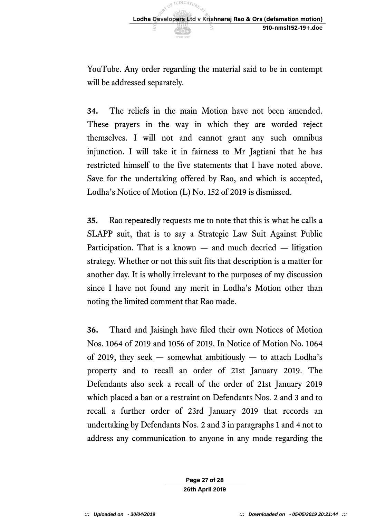YouTube. Any order regarding the material said to be in contempt will be addressed separately.

 **34.** The reliefs in the main Motion have not been amended. These prayers in the way in which they are worded reject themselves. I will not and cannot grant any such omnibus injunction. I will take it in fairness to Mr Jagtiani that he has restricted himself to the five statements that I have noted above. Save for the undertaking offered by Rao, and which is accepted, Lodha's Notice of Motion (L) No. 152 of 2019 is dismissed.

 **35.** Rao repeatedly requests me to note that this is what he calls a SLAPP suit, that is to say a Strategic Law Suit Against Public Participation. That is a known — and much decried — litigation strategy. Whether or not this suit fits that description is a matter for another day. It is wholly irrelevant to the purposes of my discussion since I have not found any merit in Lodha's Motion other than noting the limited comment that Rao made.

 **36.** Thard and Jaisingh have filed their own Notices of Motion Nos. 1064 of 2019 and 1056 of 2019. In Notice of Motion No. 1064 of 2019, they seek — somewhat ambitiously — to attach Lodha's property and to recall an order of 21st January 2019. The Defendants also seek a recall of the order of 21st January 2019 which placed a ban or a restraint on Defendants Nos. 2 and 3 and to recall a further order of 23rd January 2019 that records an undertaking by Defendants Nos. 2 and 3 in paragraphs 1 and 4 not to address any communication to anyone in any mode regarding the

> **Page 27 of 28 26th April 2019**